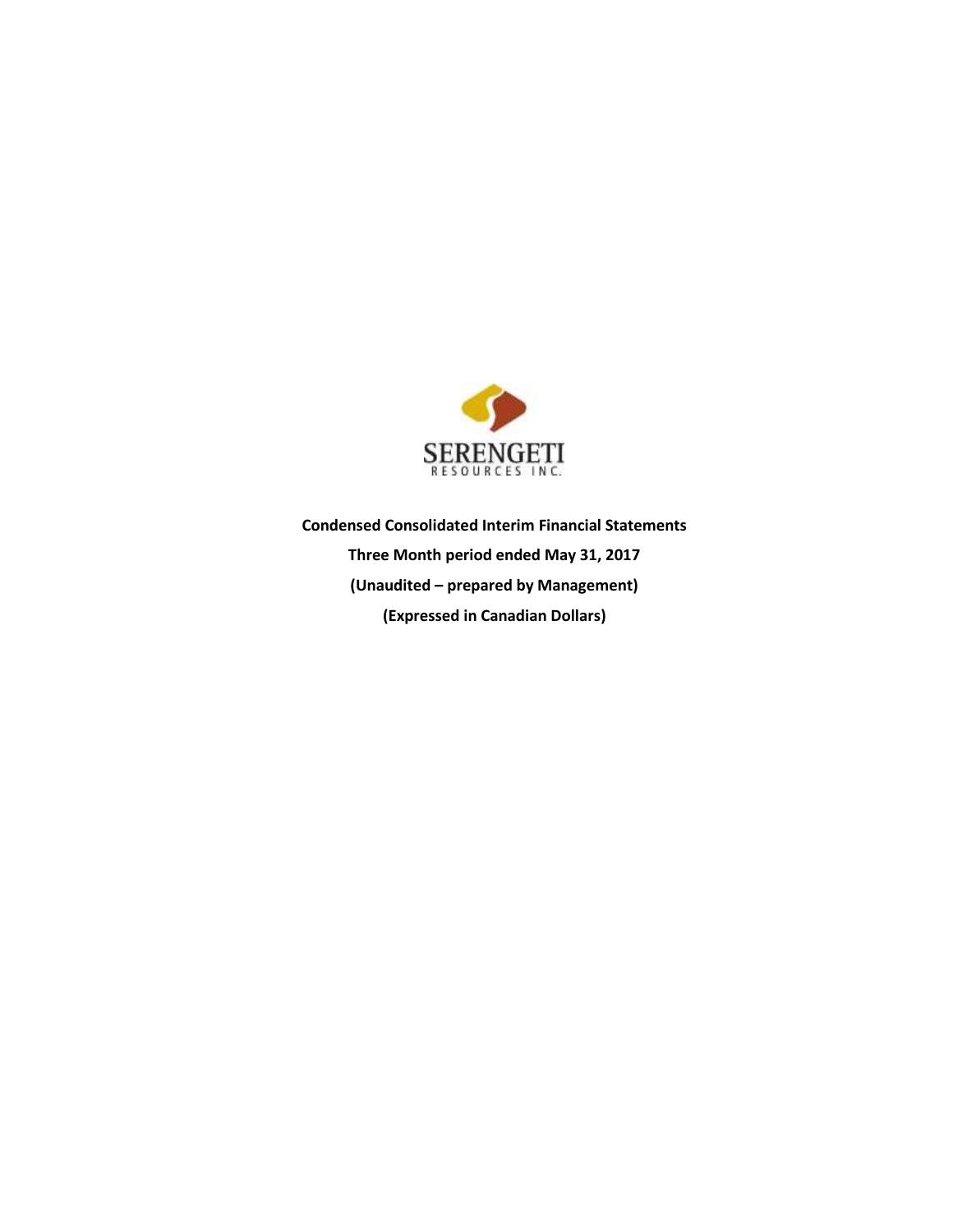

**Condensed Consolidated Interim Financial Statements Three Month period ended May 31, 2017 (Unaudited – prepared by Management) (Expressed in Canadian Dollars)**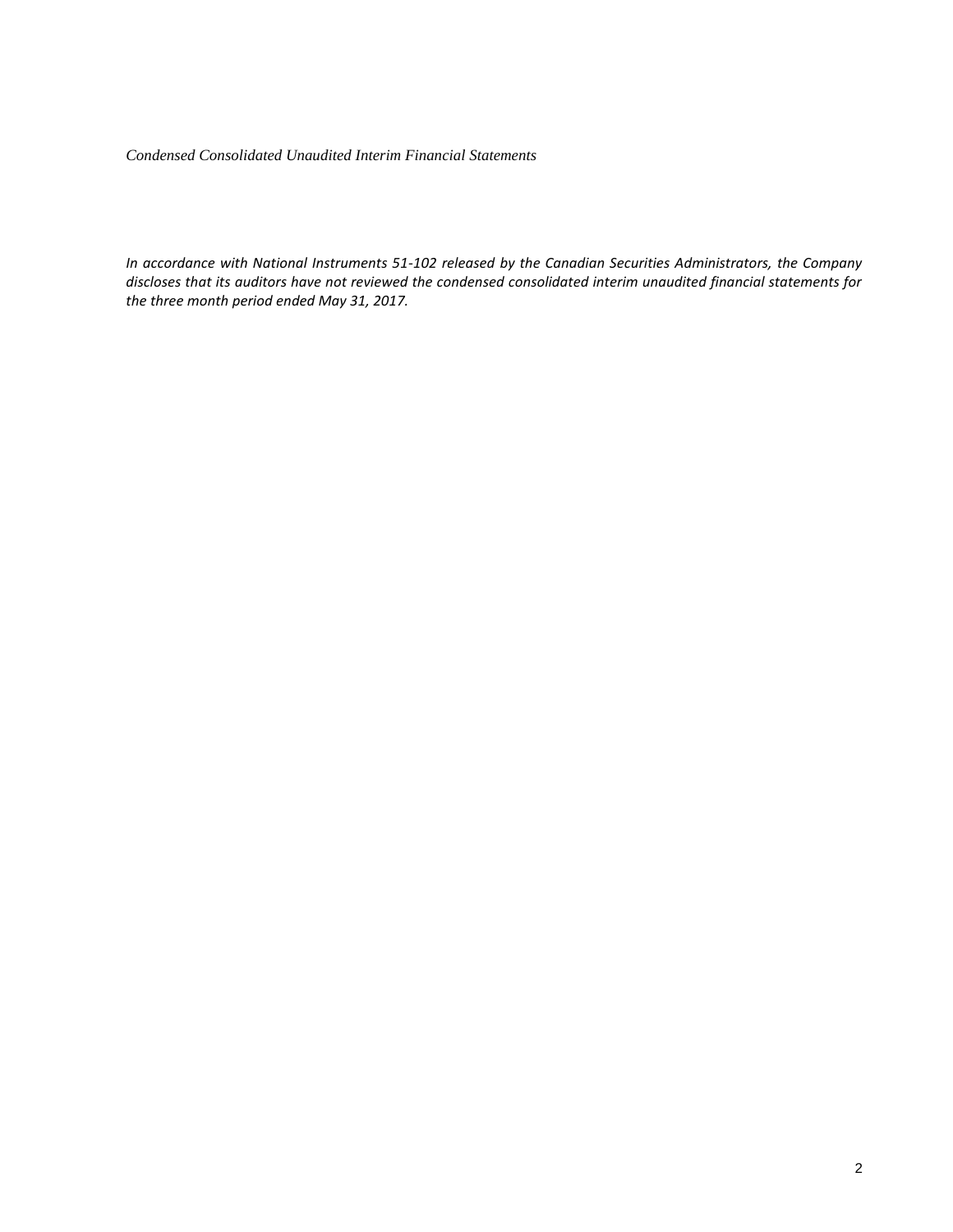*Condensed Consolidated Unaudited Interim Financial Statements* 

*In accordance with National Instruments 51-102 released by the Canadian Securities Administrators, the Company discloses that its auditors have not reviewed the condensed consolidated interim unaudited financial statements for the three month period ended May 31, 2017.*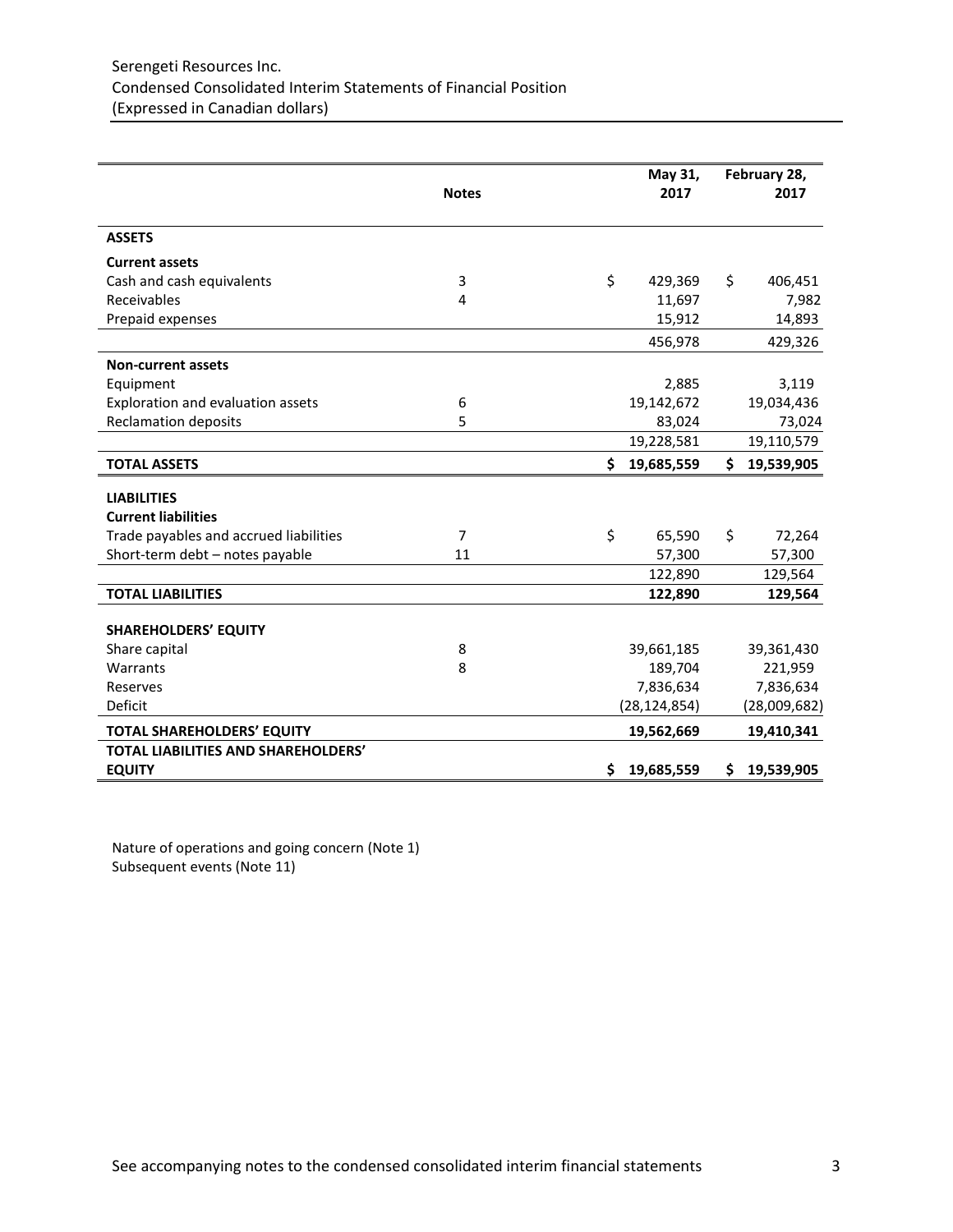|                                            | <b>Notes</b>   | May 31,<br>2017  |    | February 28,<br>2017 |
|--------------------------------------------|----------------|------------------|----|----------------------|
| <b>ASSETS</b>                              |                |                  |    |                      |
| <b>Current assets</b>                      |                |                  |    |                      |
| Cash and cash equivalents                  | 3              | \$<br>429,369    | Ś. | 406,451              |
| Receivables                                | 4              | 11,697           |    | 7,982                |
| Prepaid expenses                           |                | 15,912           |    | 14,893               |
|                                            |                | 456,978          |    | 429,326              |
| <b>Non-current assets</b>                  |                |                  |    |                      |
| Equipment                                  |                | 2,885            |    | 3,119                |
| Exploration and evaluation assets          | 6              | 19,142,672       |    | 19,034,436           |
| <b>Reclamation deposits</b>                | 5              | 83,024           |    | 73,024               |
|                                            |                | 19,228,581       |    | 19,110,579           |
| <b>TOTAL ASSETS</b>                        |                | \$<br>19,685,559 | \$ | 19,539,905           |
| <b>LIABILITIES</b>                         |                |                  |    |                      |
| <b>Current liabilities</b>                 |                |                  |    |                      |
| Trade payables and accrued liabilities     | $\overline{7}$ | \$<br>65,590     | \$ | 72,264               |
| Short-term debt - notes payable            | 11             | 57,300           |    | 57,300               |
|                                            |                | 122,890          |    | 129,564              |
| <b>TOTAL LIABILITIES</b>                   |                | 122,890          |    | 129,564              |
| <b>SHAREHOLDERS' EQUITY</b>                |                |                  |    |                      |
| Share capital                              | 8              | 39,661,185       |    | 39,361,430           |
| Warrants                                   | 8              | 189,704          |    | 221,959              |
| Reserves                                   |                | 7,836,634        |    | 7,836,634            |
| Deficit                                    |                | (28, 124, 854)   |    | (28,009,682)         |
| <b>TOTAL SHAREHOLDERS' EQUITY</b>          |                | 19,562,669       |    | 19,410,341           |
| <b>TOTAL LIABILITIES AND SHAREHOLDERS'</b> |                |                  |    |                      |
| <b>EQUITY</b>                              |                | \$<br>19,685,559 | \$ | 19,539,905           |

Nature of operations and going concern (Note 1) Subsequent events (Note 11)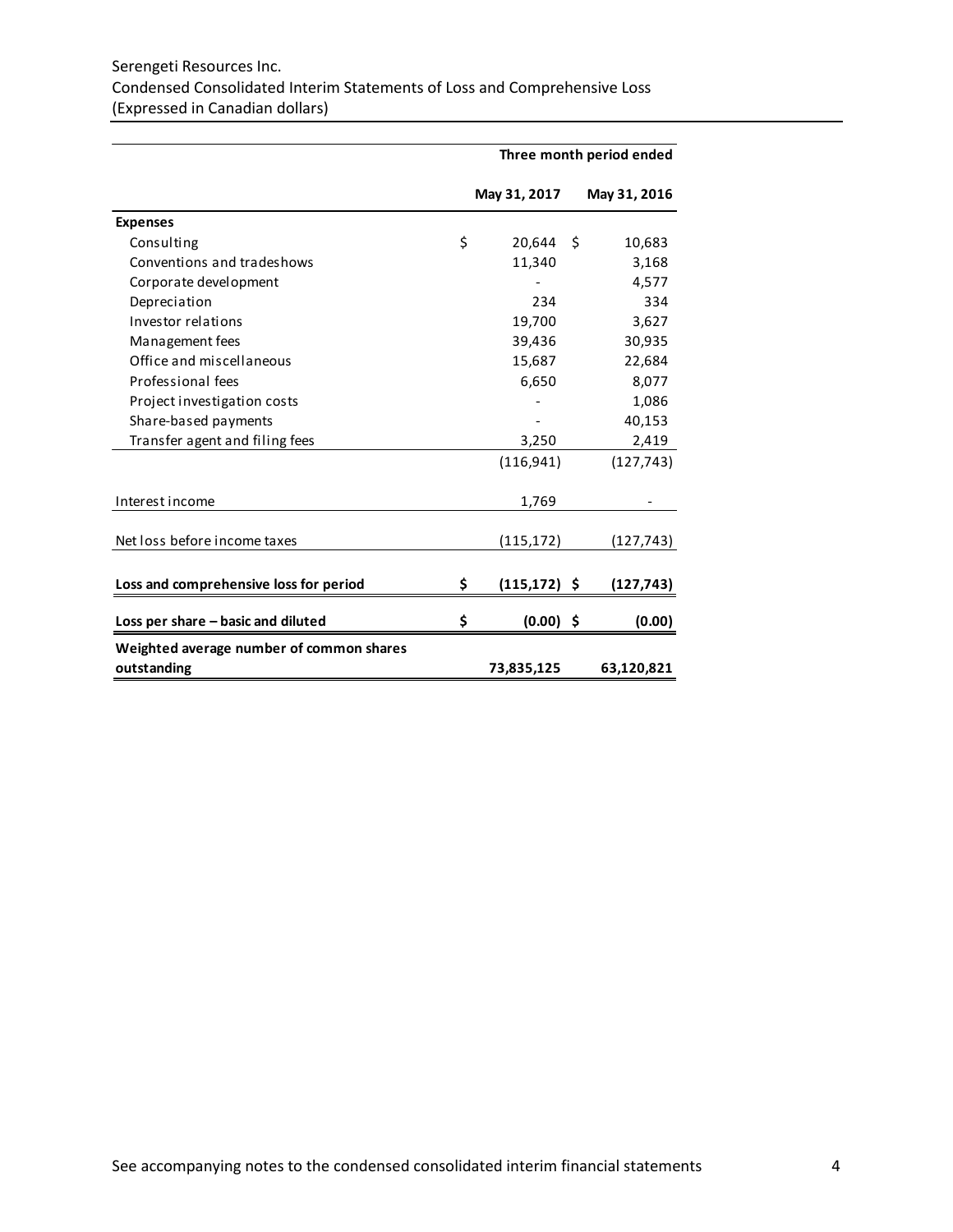# Serengeti Resources Inc. Condensed Consolidated Interim Statements of Loss and Comprehensive Loss (Expressed in Canadian dollars)

|                                          | Three month period ended |                 |    |              |  |
|------------------------------------------|--------------------------|-----------------|----|--------------|--|
|                                          |                          | May 31, 2017    |    | May 31, 2016 |  |
| <b>Expenses</b>                          |                          |                 |    |              |  |
| Consulting                               | \$                       | 20,644          | -S | 10,683       |  |
| Conventions and tradeshows               |                          | 11,340          |    | 3,168        |  |
| Corporate development                    |                          |                 |    | 4,577        |  |
| Depreciation                             |                          | 234             |    | 334          |  |
| Investor relations                       |                          | 19,700          |    | 3,627        |  |
| Management fees                          |                          | 39,436          |    | 30,935       |  |
| Office and miscellaneous                 |                          | 15,687          |    | 22,684       |  |
| Professional fees                        |                          | 6,650           |    | 8,077        |  |
| Project investigation costs              |                          |                 |    | 1,086        |  |
| Share-based payments                     |                          |                 |    | 40,153       |  |
| Transfer agent and filing fees           |                          | 3,250           |    | 2,419        |  |
|                                          |                          | (116, 941)      |    | (127, 743)   |  |
| Interest income                          |                          | 1,769           |    |              |  |
| Net loss before income taxes             |                          | (115, 172)      |    | (127, 743)   |  |
|                                          |                          |                 |    |              |  |
| Loss and comprehensive loss for period   | \$                       | $(115, 172)$ \$ |    | (127, 743)   |  |
| Loss per share - basic and diluted       | \$                       | $(0.00)$ \$     |    | (0.00)       |  |
| Weighted average number of common shares |                          |                 |    |              |  |
| outstanding                              |                          | 73,835,125      |    | 63,120,821   |  |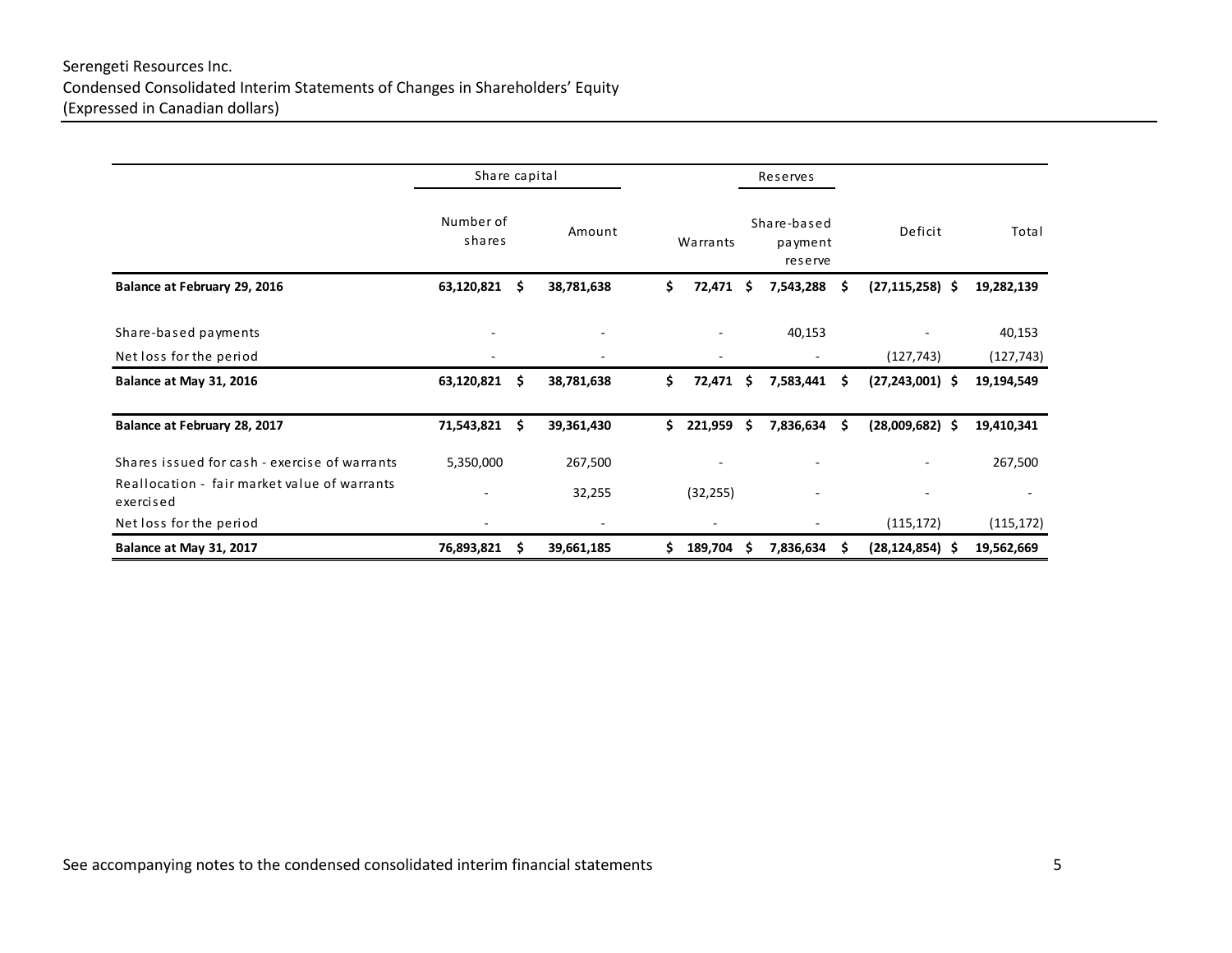# Serengeti Resources Inc. Condensed Consolidated Interim Statements of Changes in Shareholders' Equity (Expressed in Canadian dollars)

|                                                           |                     | Share capital |                                        |     |                          | Reserves |                                       |     |                                   |                          |
|-----------------------------------------------------------|---------------------|---------------|----------------------------------------|-----|--------------------------|----------|---------------------------------------|-----|-----------------------------------|--------------------------|
|                                                           | Number of<br>shares |               | Amount                                 |     | Warrants                 |          | Share-based<br>payment<br>reserve     |     | Deficit                           | Total                    |
| Balance at February 29, 2016                              | $63,120,821$ \$     |               | 38,781,638                             | \$  | 72,471                   | -S       | 7,543,288                             | S   | $(27, 115, 258)$ \$               | 19,282,139               |
| Share-based payments                                      | ۰                   |               | ٠                                      |     |                          |          | 40,153                                |     |                                   | 40,153                   |
| Net loss for the period<br>Balance at May 31, 2016        | ۰<br>63,120,821     | -S            | $\overline{\phantom{a}}$<br>38,781,638 | \$  | $\blacksquare$<br>72,471 | -S       | $\overline{\phantom{a}}$<br>7,583,441 | \$. | (127, 743)<br>$(27, 243, 001)$ \$ | (127, 743)<br>19,194,549 |
| Balance at February 28, 2017                              | 71,543,821 \$       |               | 39,361,430                             | \$. | 221,959                  | -\$      | 7,836,634                             | \$. | $(28,009,682)$ \$                 | 19,410,341               |
| Shares issued for cash - exercise of warrants             | 5,350,000           |               | 267,500                                |     |                          |          |                                       |     |                                   | 267,500                  |
| Reallocation - fair market value of warrants<br>exercised | ۰                   |               | 32,255                                 |     | (32, 255)                |          |                                       |     |                                   | $\overline{\phantom{a}}$ |
| Net loss for the period                                   |                     |               |                                        |     |                          |          |                                       |     | (115, 172)                        | (115, 172)               |
| Balance at May 31, 2017                                   | 76,893,821          | -S            | 39,661,185                             | \$. | 189,704                  | S        | 7,836,634                             | \$. | $(28, 124, 854)$ \$               | 19,562,669               |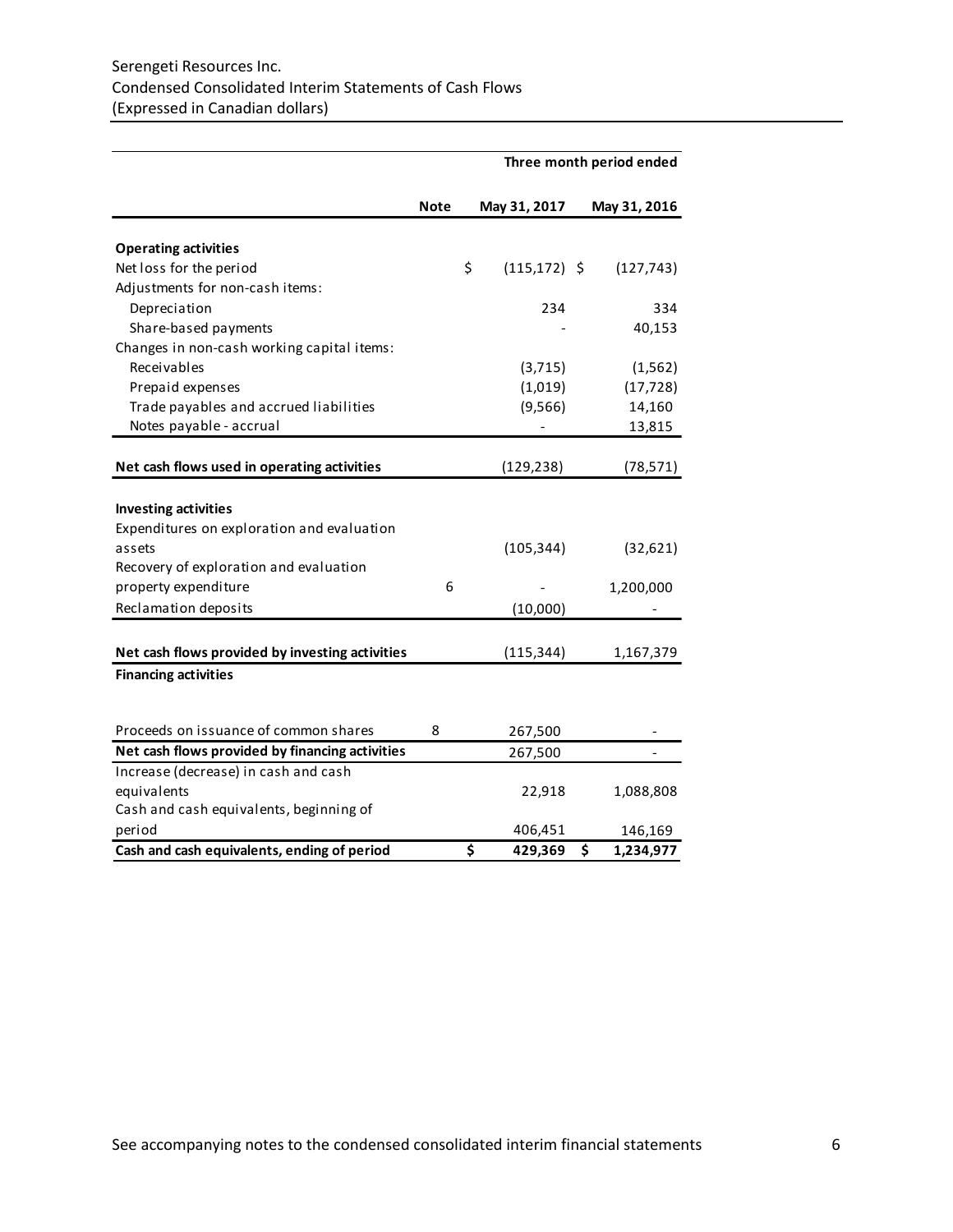|                                                  | Three month period ended |    |                 |    |              |  |
|--------------------------------------------------|--------------------------|----|-----------------|----|--------------|--|
|                                                  | Note                     |    | May 31, 2017    |    | May 31, 2016 |  |
| <b>Operating activities</b>                      |                          |    |                 |    |              |  |
| Net loss for the period                          |                          | \$ | $(115, 172)$ \$ |    | (127, 743)   |  |
| Adjustments for non-cash items:                  |                          |    |                 |    |              |  |
| Depreciation                                     |                          |    | 234             |    | 334          |  |
| Share-based payments                             |                          |    |                 |    | 40,153       |  |
| Changes in non-cash working capital items:       |                          |    |                 |    |              |  |
| Receivables                                      |                          |    | (3, 715)        |    | (1, 562)     |  |
| Prepaid expenses                                 |                          |    | (1,019)         |    | (17, 728)    |  |
| Trade payables and accrued liabilities           |                          |    | (9, 566)        |    | 14,160       |  |
| Notes payable - accrual                          |                          |    |                 |    | 13,815       |  |
| Net cash flows used in operating activities      |                          |    | (129, 238)      |    | (78, 571)    |  |
|                                                  |                          |    |                 |    |              |  |
| <b>Investing activities</b>                      |                          |    |                 |    |              |  |
| Expenditures on exploration and evaluation       |                          |    |                 |    |              |  |
| assets<br>Recovery of exploration and evaluation |                          |    | (105, 344)      |    | (32,621)     |  |
| property expenditure                             | 6                        |    |                 |    |              |  |
| Reclamation deposits                             |                          |    |                 |    | 1,200,000    |  |
|                                                  |                          |    | (10,000)        |    |              |  |
| Net cash flows provided by investing activities  |                          |    | (115, 344)      |    | 1,167,379    |  |
| <b>Financing activities</b>                      |                          |    |                 |    |              |  |
|                                                  |                          |    |                 |    |              |  |
| Proceeds on issuance of common shares            | 8                        |    | 267,500         |    |              |  |
| Net cash flows provided by financing activities  |                          |    | 267,500         |    |              |  |
| Increase (decrease) in cash and cash             |                          |    |                 |    |              |  |
| equivalents                                      |                          |    | 22,918          |    | 1,088,808    |  |
| Cash and cash equivalents, beginning of          |                          |    |                 |    |              |  |
| period                                           |                          |    | 406,451         |    | 146,169      |  |
| Cash and cash equivalents, ending of period      |                          | \$ | 429,369         | \$ | 1,234,977    |  |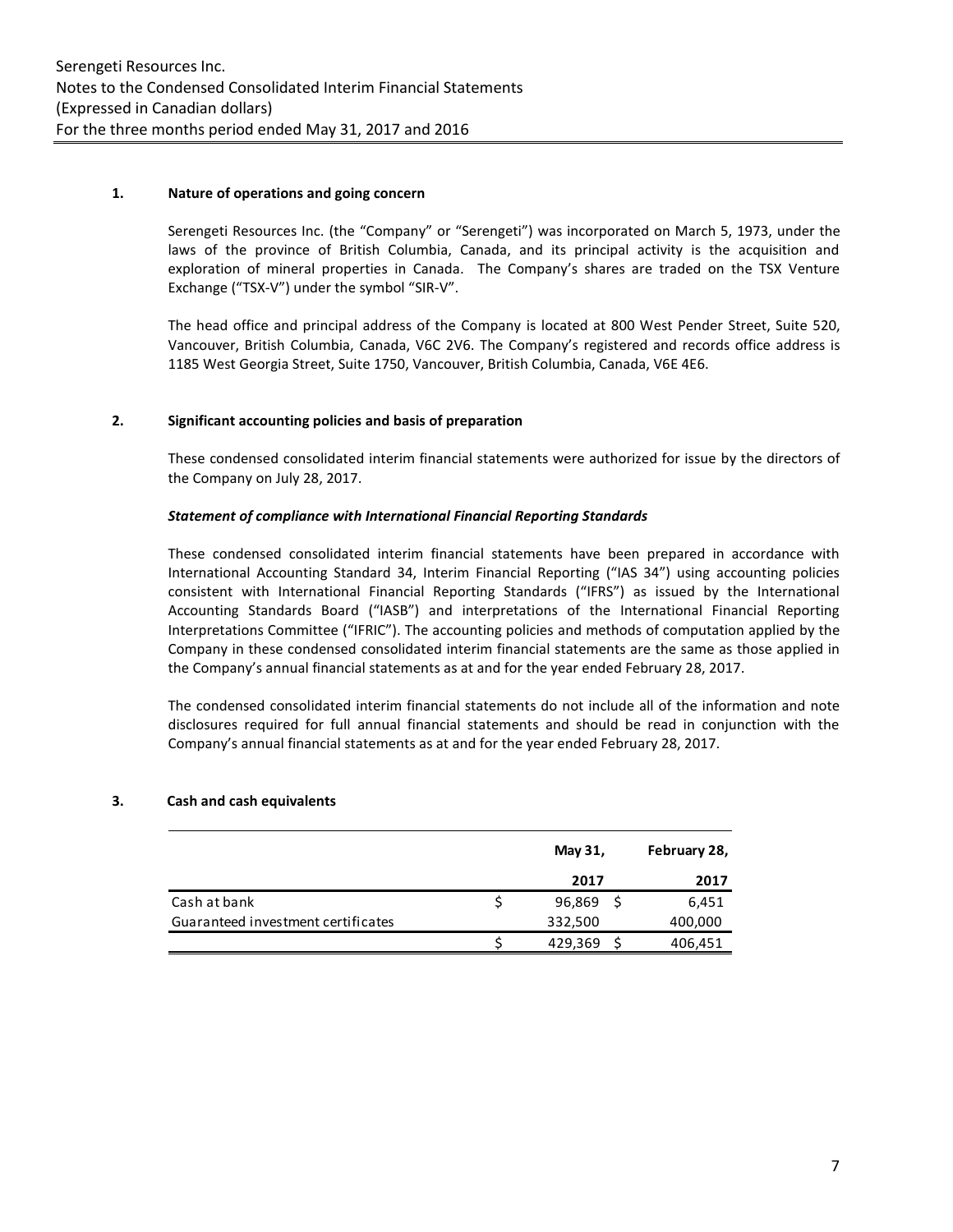## **1. Nature of operations and going concern**

Serengeti Resources Inc. (the "Company" or "Serengeti") was incorporated on March 5, 1973, under the laws of the province of British Columbia, Canada, and its principal activity is the acquisition and exploration of mineral properties in Canada. The Company's shares are traded on the TSX Venture Exchange ("TSX-V") under the symbol "SIR-V".

The head office and principal address of the Company is located at 800 West Pender Street, Suite 520, Vancouver, British Columbia, Canada, V6C 2V6. The Company's registered and records office address is 1185 West Georgia Street, Suite 1750, Vancouver, British Columbia, Canada, V6E 4E6.

## **2. Significant accounting policies and basis of preparation**

These condensed consolidated interim financial statements were authorized for issue by the directors of the Company on July 28, 2017.

## *Statement of compliance with International Financial Reporting Standards*

These condensed consolidated interim financial statements have been prepared in accordance with International Accounting Standard 34, Interim Financial Reporting ("IAS 34") using accounting policies consistent with International Financial Reporting Standards ("IFRS") as issued by the International Accounting Standards Board ("IASB") and interpretations of the International Financial Reporting Interpretations Committee ("IFRIC"). The accounting policies and methods of computation applied by the Company in these condensed consolidated interim financial statements are the same as those applied in the Company's annual financial statements as at and for the year ended February 28, 2017.

The condensed consolidated interim financial statements do not include all of the information and note disclosures required for full annual financial statements and should be read in conjunction with the Company's annual financial statements as at and for the year ended February 28, 2017.

## **3. Cash and cash equivalents**

|                                    | May 31, | February 28, |
|------------------------------------|---------|--------------|
|                                    | 2017    | 2017         |
| Cash at bank                       | 96,869  | 6,451        |
| Guaranteed investment certificates | 332,500 | 400,000      |
|                                    | 429,369 | 406,451      |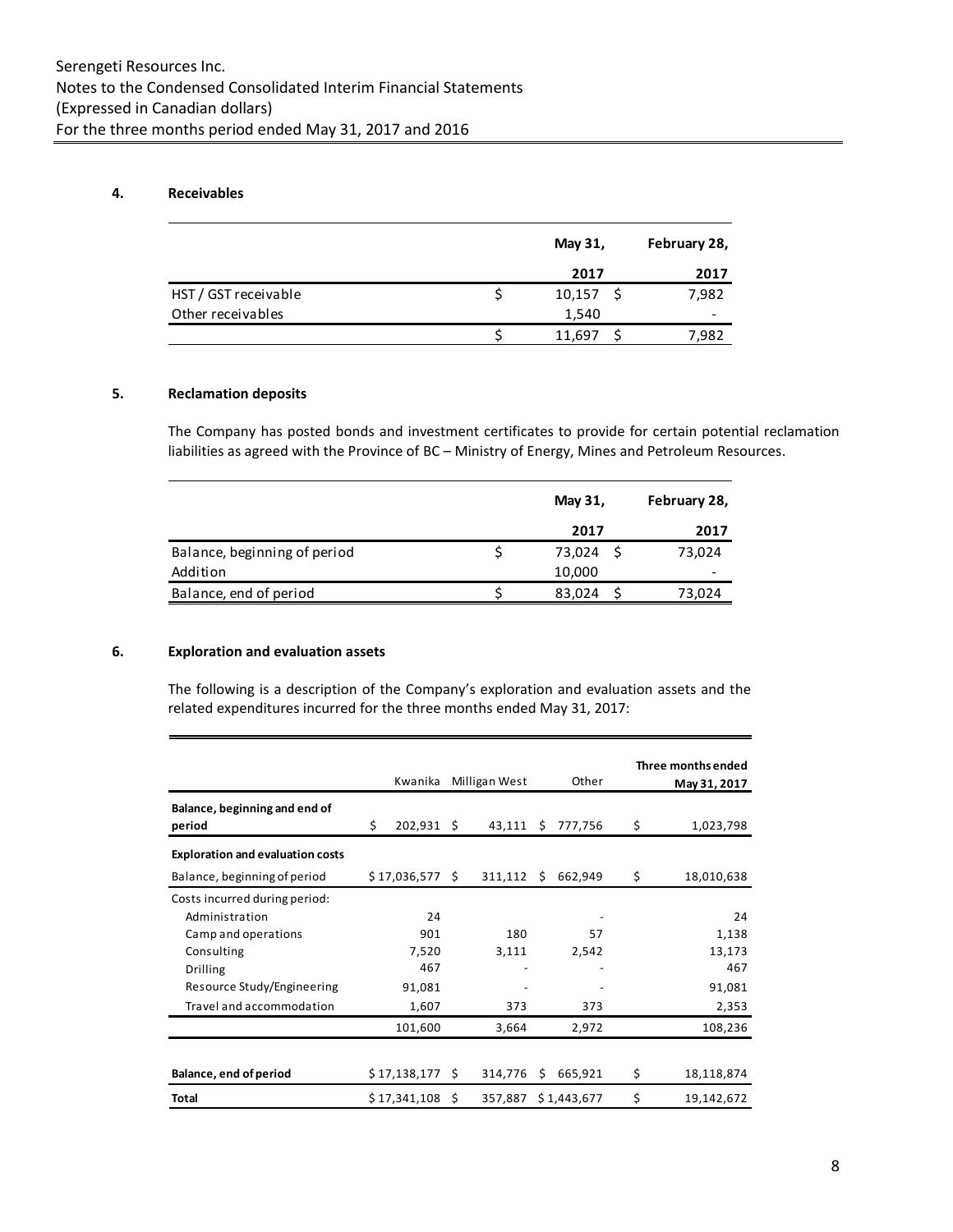## **4. Receivables**

|                      | May 31, | February 28,    |
|----------------------|---------|-----------------|
|                      | 2017    | 2017            |
| HST / GST receivable | 10,157  | 7,982           |
| Other receivables    | 1,540   | $\qquad \qquad$ |
|                      | 11,697  | 7,982           |

## **5. Reclamation deposits**

The Company has posted bonds and investment certificates to provide for certain potential reclamation liabilities as agreed with the Province of BC – Ministry of Energy, Mines and Petroleum Resources.

|                              | May 31, | February 28, |
|------------------------------|---------|--------------|
|                              | 2017    | 2017         |
| Balance, beginning of period | 73,024  | 73,024       |
| Addition                     | 10,000  |              |
| Balance, end of period       | 83,024  | 73,024       |

## **6. Exploration and evaluation assets**

The following is a description of the Company's exploration and evaluation assets and the related expenditures incurred for the three months ended May 31, 2017:

|                                         | Kwanika       |      | Milligan West |    | Other       | Three months ended<br>May 31, 2017 |  |  |  |  |  |     |
|-----------------------------------------|---------------|------|---------------|----|-------------|------------------------------------|--|--|--|--|--|-----|
| Balance, beginning and end of<br>period | \$<br>202,931 | - \$ | 43,111        | Ŝ. | 777,756     | \$<br>1,023,798                    |  |  |  |  |  |     |
| <b>Exploration and evaluation costs</b> |               |      |               |    |             |                                    |  |  |  |  |  |     |
| Balance, beginning of period            | \$17,036,577  | -S   | 311,112       | -S | 662,949     | \$<br>18,010,638                   |  |  |  |  |  |     |
| Costs incurred during period:           |               |      |               |    |             |                                    |  |  |  |  |  |     |
| Administration                          | 24            |      |               |    |             | 24                                 |  |  |  |  |  |     |
| Camp and operations                     | 901           |      | 180           |    | 57          | 1,138                              |  |  |  |  |  |     |
| Consulting                              | 7,520         |      | 3,111         |    | 2,542       | 13,173                             |  |  |  |  |  |     |
| <b>Drilling</b>                         | 467           |      |               |    |             |                                    |  |  |  |  |  | 467 |
| Resource Study/Engineering              | 91,081        |      |               |    |             | 91,081                             |  |  |  |  |  |     |
| Travel and accommodation                | 1,607         |      | 373           |    | 373         | 2,353                              |  |  |  |  |  |     |
|                                         | 101,600       |      | 3,664         |    | 2,972       | 108,236                            |  |  |  |  |  |     |
|                                         |               |      |               |    |             |                                    |  |  |  |  |  |     |
| Balance, end of period                  | \$17,138,177  | S.   | 314,776       | S  | 665,921     | \$<br>18,118,874                   |  |  |  |  |  |     |
| Total                                   | \$17,341,108  | Ś.   | 357,887       |    | \$1,443,677 | \$<br>19,142,672                   |  |  |  |  |  |     |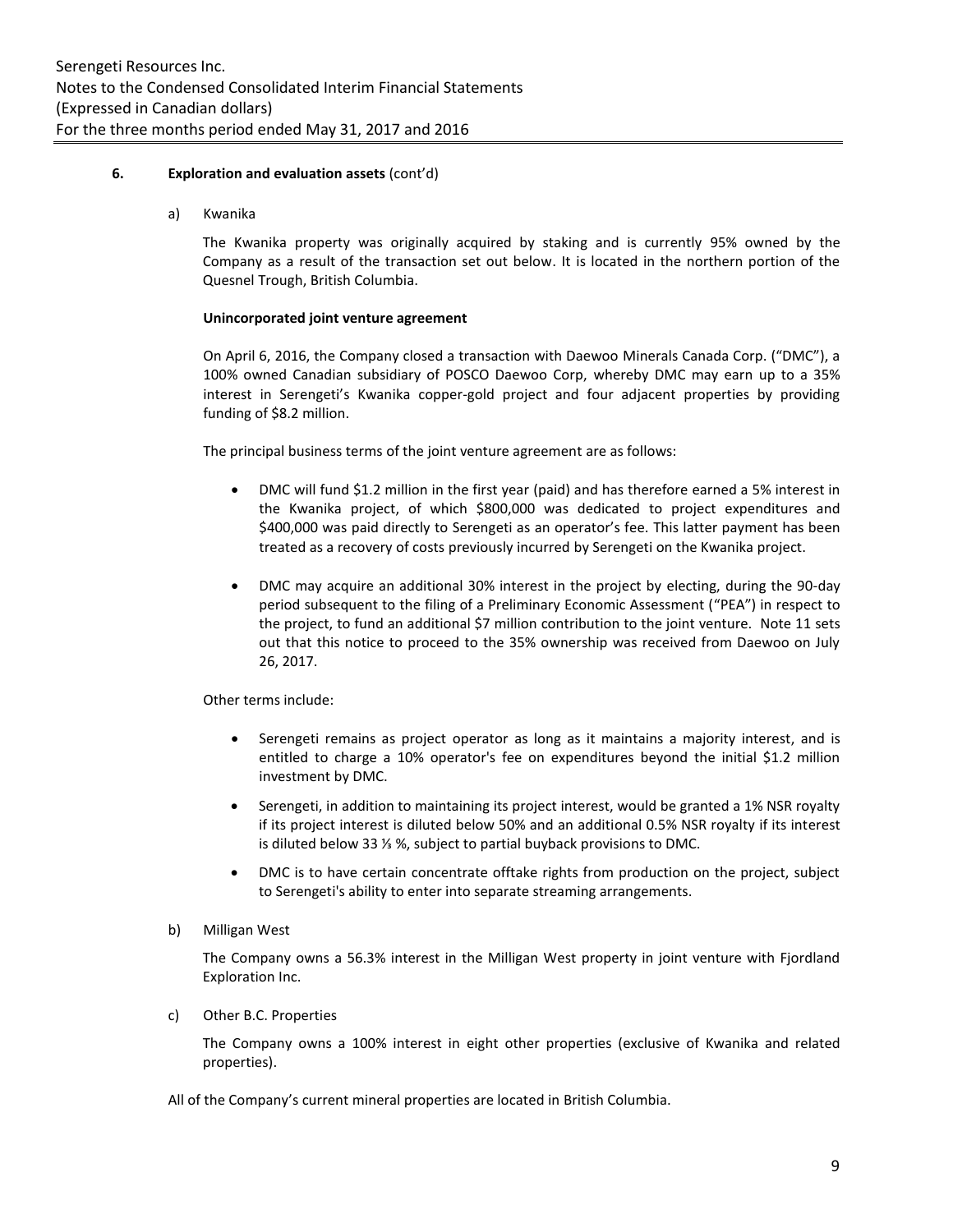### **6. Exploration and evaluation assets** (cont'd)

a) Kwanika

The Kwanika property was originally acquired by staking and is currently 95% owned by the Company as a result of the transaction set out below. It is located in the northern portion of the Quesnel Trough, British Columbia.

#### **Unincorporated joint venture agreement**

On April 6, 2016, the Company closed a transaction with Daewoo Minerals Canada Corp. ("DMC"), a 100% owned Canadian subsidiary of POSCO Daewoo Corp, whereby DMC may earn up to a 35% interest in Serengeti's Kwanika copper-gold project and four adjacent properties by providing funding of \$8.2 million.

The principal business terms of the joint venture agreement are as follows:

- DMC will fund \$1.2 million in the first year (paid) and has therefore earned a 5% interest in the Kwanika project, of which \$800,000 was dedicated to project expenditures and \$400,000 was paid directly to Serengeti as an operator's fee. This latter payment has been treated as a recovery of costs previously incurred by Serengeti on the Kwanika project.
- DMC may acquire an additional 30% interest in the project by electing, during the 90-day period subsequent to the filing of a Preliminary Economic Assessment ("PEA") in respect to the project, to fund an additional \$7 million contribution to the joint venture. Note 11 sets out that this notice to proceed to the 35% ownership was received from Daewoo on July 26, 2017.

Other terms include:

- Serengeti remains as project operator as long as it maintains a majority interest, and is entitled to charge a 10% operator's fee on expenditures beyond the initial \$1.2 million investment by DMC.
- Serengeti, in addition to maintaining its project interest, would be granted a 1% NSR royalty if its project interest is diluted below 50% and an additional 0.5% NSR royalty if its interest is diluted below 33 ⅓ %, subject to partial buyback provisions to DMC.
- DMC is to have certain concentrate offtake rights from production on the project, subject to Serengeti's ability to enter into separate streaming arrangements.
- b) Milligan West

The Company owns a 56.3% interest in the Milligan West property in joint venture with Fjordland Exploration Inc.

c) Other B.C. Properties

The Company owns a 100% interest in eight other properties (exclusive of Kwanika and related properties).

All of the Company's current mineral properties are located in British Columbia.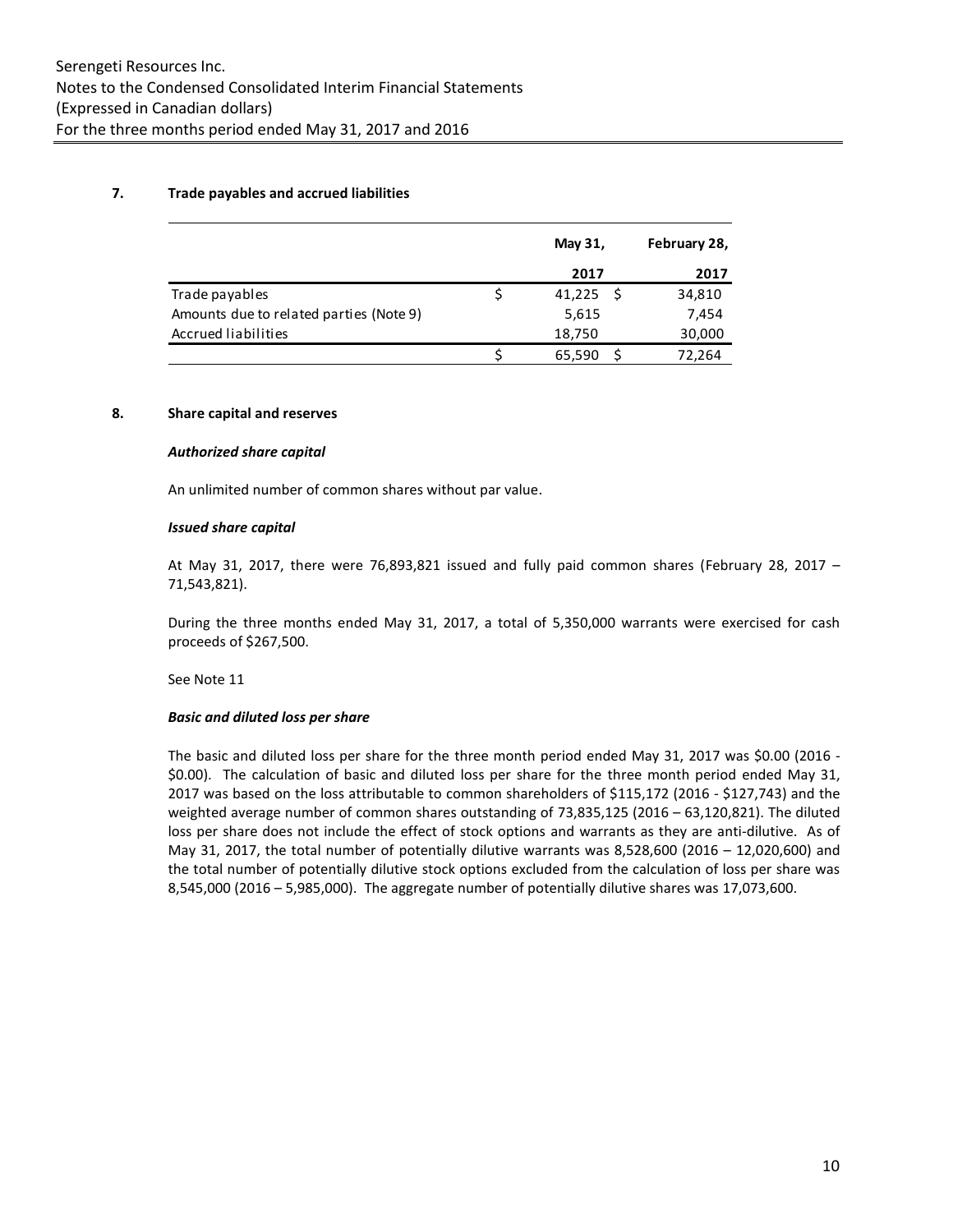## **7. Trade payables and accrued liabilities**

|                                         | May 31, | February 28, |
|-----------------------------------------|---------|--------------|
|                                         | 2017    | 2017         |
| Trade payables                          | 41,225  | 34,810       |
| Amounts due to related parties (Note 9) | 5,615   | 7,454        |
| Accrued liabilities                     | 18,750  | 30,000       |
|                                         | 65,590  | 72,264       |

## **8. Share capital and reserves**

#### *Authorized share capital*

An unlimited number of common shares without par value.

#### *Issued share capital*

At May 31, 2017, there were 76,893,821 issued and fully paid common shares (February 28, 2017 – 71,543,821).

During the three months ended May 31, 2017, a total of 5,350,000 warrants were exercised for cash proceeds of \$267,500.

See Note 11

#### *Basic and diluted loss per share*

The basic and diluted loss per share for the three month period ended May 31, 2017 was \$0.00 (2016 - \$0.00). The calculation of basic and diluted loss per share for the three month period ended May 31, 2017 was based on the loss attributable to common shareholders of \$115,172 (2016 - \$127,743) and the weighted average number of common shares outstanding of 73,835,125 (2016 – 63,120,821). The diluted loss per share does not include the effect of stock options and warrants as they are anti-dilutive. As of May 31, 2017, the total number of potentially dilutive warrants was 8,528,600 (2016 – 12,020,600) and the total number of potentially dilutive stock options excluded from the calculation of loss per share was 8,545,000 (2016 – 5,985,000). The aggregate number of potentially dilutive shares was 17,073,600.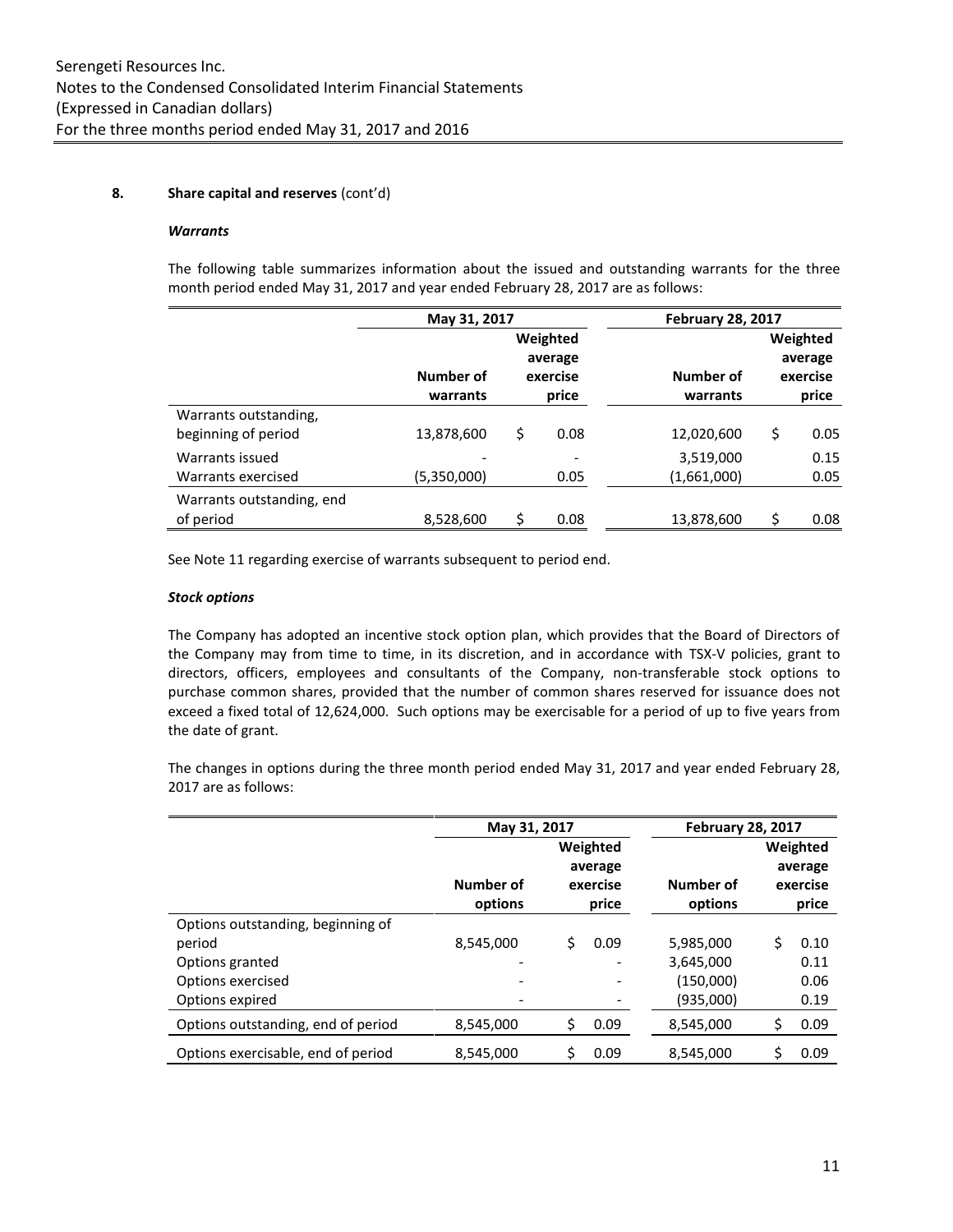## **8. Share capital and reserves** (cont'd)

#### *Warrants*

The following table summarizes information about the issued and outstanding warrants for the three month period ended May 31, 2017 and year ended February 28, 2017 are as follows:

|                           | May 31, 2017 |            |  | <b>February 28, 2017</b> |            |
|---------------------------|--------------|------------|--|--------------------------|------------|
|                           |              | Weighted   |  |                          | Weighted   |
|                           |              | average    |  |                          | average    |
|                           | Number of    | exercise   |  | Number of                | exercise   |
|                           | warrants     | price      |  | warrants                 | price      |
| Warrants outstanding,     |              |            |  |                          |            |
| beginning of period       | 13,878,600   | \$<br>0.08 |  | 12,020,600               | \$<br>0.05 |
| Warrants issued           |              |            |  | 3,519,000                | 0.15       |
| Warrants exercised        | (5,350,000)  | 0.05       |  | (1,661,000)              | 0.05       |
| Warrants outstanding, end |              |            |  |                          |            |
| of period                 | 8,528,600    | \$<br>0.08 |  | 13,878,600               | 0.08       |

See Note 11 regarding exercise of warrants subsequent to period end.

#### *Stock options*

The Company has adopted an incentive stock option plan, which provides that the Board of Directors of the Company may from time to time, in its discretion, and in accordance with TSX-V policies, grant to directors, officers, employees and consultants of the Company, non-transferable stock options to purchase common shares, provided that the number of common shares reserved for issuance does not exceed a fixed total of 12,624,000. Such options may be exercisable for a period of up to five years from the date of grant.

The changes in options during the three month period ended May 31, 2017 and year ended February 28, 2017 are as follows:

|                                    | May 31, 2017                                                     |      | <b>February 28, 2017</b> |          |                              |
|------------------------------------|------------------------------------------------------------------|------|--------------------------|----------|------------------------------|
|                                    | Weighted<br>average<br>Number of<br>exercise<br>options<br>price |      | Number of<br>options     | Weighted | average<br>exercise<br>price |
| Options outstanding, beginning of  |                                                                  |      |                          |          |                              |
| period                             | 8,545,000                                                        | 0.09 | 5,985,000                | Ś        | 0.10                         |
| Options granted                    |                                                                  |      | 3,645,000                |          | 0.11                         |
| Options exercised                  |                                                                  |      | (150,000)                |          | 0.06                         |
| Options expired                    |                                                                  |      | (935,000)                |          | 0.19                         |
| Options outstanding, end of period | 8,545,000                                                        | 0.09 | 8,545,000                | \$       | 0.09                         |
| Options exercisable, end of period | 8,545,000                                                        | 0.09 | 8,545,000                | \$       | 0.09                         |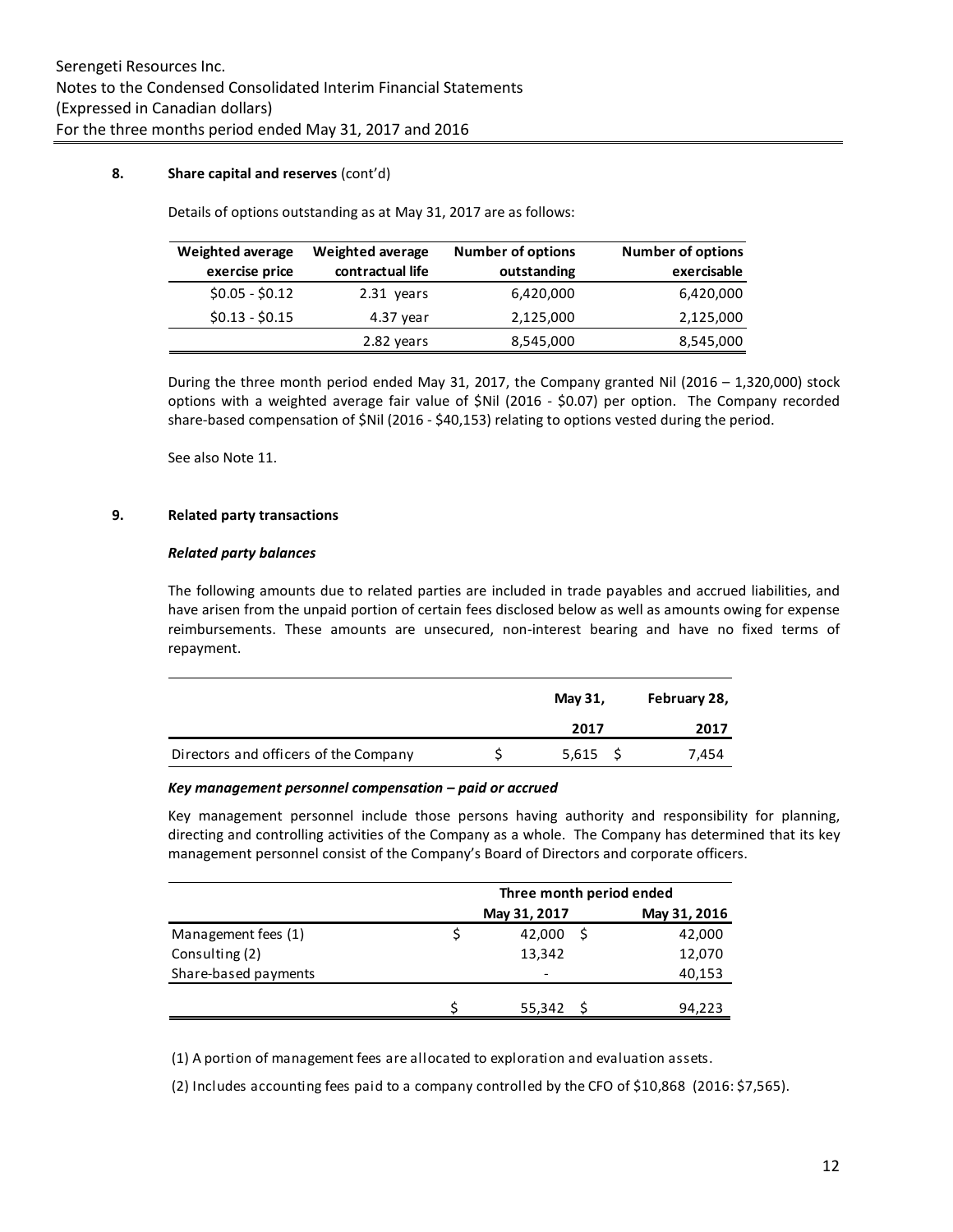### **8. Share capital and reserves** (cont'd)

Details of options outstanding as at May 31, 2017 are as follows:

| Weighted average | <b>Weighted average</b> | <b>Number of options</b> | <b>Number of options</b> |
|------------------|-------------------------|--------------------------|--------------------------|
| exercise price   | contractual life        | outstanding              | exercisable              |
| $$0.05 - $0.12$  | 2.31 years              | 6,420,000                | 6,420,000                |
| $$0.13 - $0.15$  | 4.37 year               | 2,125,000                | 2,125,000                |
|                  | 2.82 years              | 8,545,000                | 8,545,000                |

During the three month period ended May 31, 2017, the Company granted Nil (2016 – 1,320,000) stock options with a weighted average fair value of \$Nil (2016 - \$0.07) per option. The Company recorded share-based compensation of \$Nil (2016 - \$40,153) relating to options vested during the period.

See also Note 11.

## **9. Related party transactions**

#### *Related party balances*

The following amounts due to related parties are included in trade payables and accrued liabilities, and have arisen from the unpaid portion of certain fees disclosed below as well as amounts owing for expense reimbursements. These amounts are unsecured, non-interest bearing and have no fixed terms of repayment.

|                                       | May 31, | February 28, |
|---------------------------------------|---------|--------------|
|                                       | 2017    | 2017         |
| Directors and officers of the Company | 5,615   | 7,454        |

#### *Key management personnel compensation – paid or accrued*

Key management personnel include those persons having authority and responsibility for planning, directing and controlling activities of the Company as a whole. The Company has determined that its key management personnel consist of the Company's Board of Directors and corporate officers.

|                      | Three month period ended |              |  |  |
|----------------------|--------------------------|--------------|--|--|
|                      | May 31, 2017             | May 31, 2016 |  |  |
| Management fees (1)  | 42,000                   | 42,000       |  |  |
| Consulting (2)       | 13,342                   | 12,070       |  |  |
| Share-based payments | $\overline{\phantom{0}}$ | 40,153       |  |  |
|                      |                          |              |  |  |
|                      | 55,342                   | 94,223       |  |  |

(1) A portion of management fees are allocated to exploration and evaluation assets.

(2) Includes accounting fees paid to a company controlled by the CFO of \$10,868 (2016: \$7,565).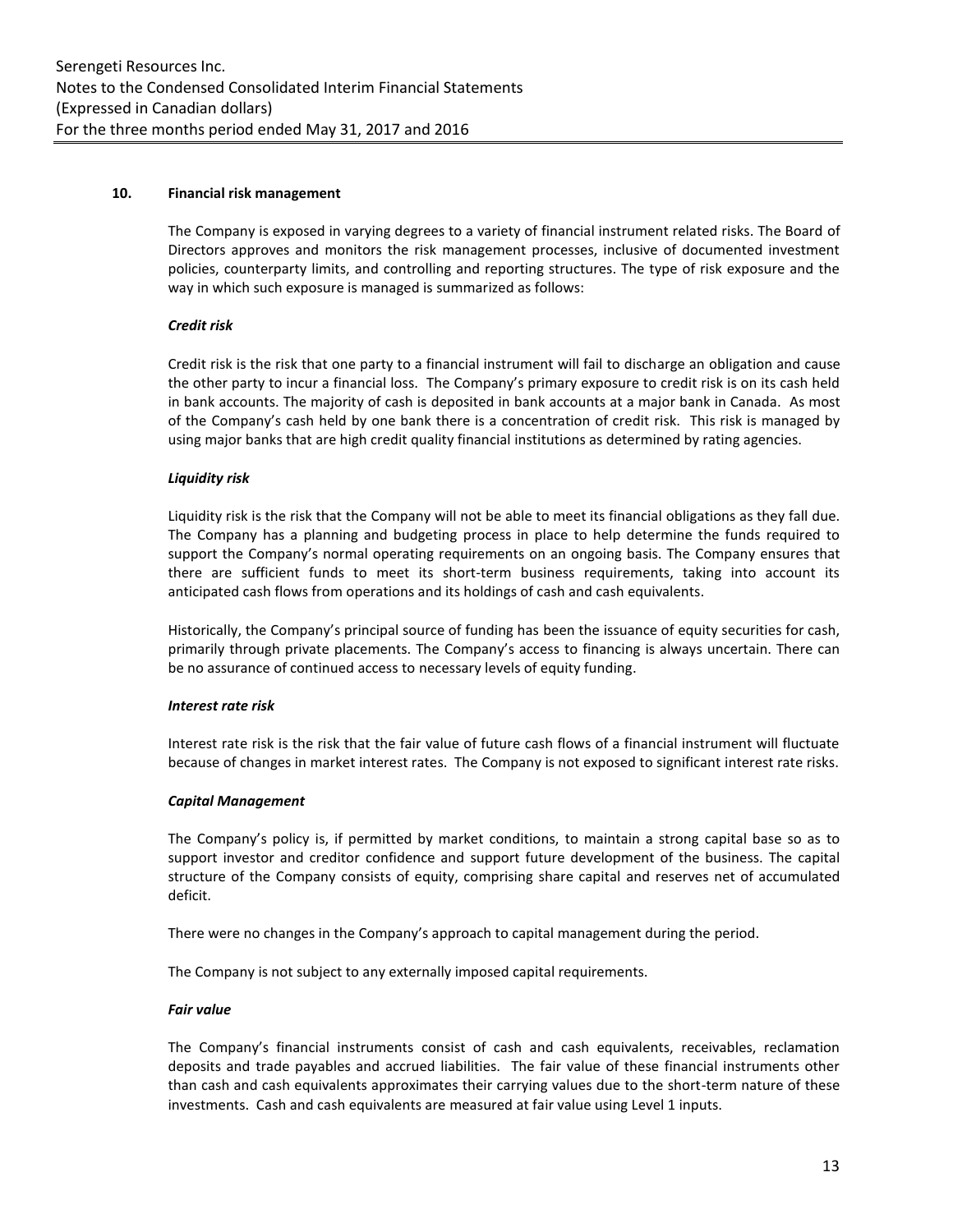### **10. Financial risk management**

The Company is exposed in varying degrees to a variety of financial instrument related risks. The Board of Directors approves and monitors the risk management processes, inclusive of documented investment policies, counterparty limits, and controlling and reporting structures. The type of risk exposure and the way in which such exposure is managed is summarized as follows:

#### *Credit risk*

Credit risk is the risk that one party to a financial instrument will fail to discharge an obligation and cause the other party to incur a financial loss. The Company's primary exposure to credit risk is on its cash held in bank accounts. The majority of cash is deposited in bank accounts at a major bank in Canada. As most of the Company's cash held by one bank there is a concentration of credit risk. This risk is managed by using major banks that are high credit quality financial institutions as determined by rating agencies.

#### *Liquidity risk*

Liquidity risk is the risk that the Company will not be able to meet its financial obligations as they fall due. The Company has a planning and budgeting process in place to help determine the funds required to support the Company's normal operating requirements on an ongoing basis. The Company ensures that there are sufficient funds to meet its short-term business requirements, taking into account its anticipated cash flows from operations and its holdings of cash and cash equivalents.

Historically, the Company's principal source of funding has been the issuance of equity securities for cash, primarily through private placements. The Company's access to financing is always uncertain. There can be no assurance of continued access to necessary levels of equity funding.

#### *Interest rate risk*

Interest rate risk is the risk that the fair value of future cash flows of a financial instrument will fluctuate because of changes in market interest rates. The Company is not exposed to significant interest rate risks.

#### *Capital Management*

The Company's policy is, if permitted by market conditions, to maintain a strong capital base so as to support investor and creditor confidence and support future development of the business. The capital structure of the Company consists of equity, comprising share capital and reserves net of accumulated deficit.

There were no changes in the Company's approach to capital management during the period.

The Company is not subject to any externally imposed capital requirements.

#### *Fair value*

The Company's financial instruments consist of cash and cash equivalents, receivables, reclamation deposits and trade payables and accrued liabilities. The fair value of these financial instruments other than cash and cash equivalents approximates their carrying values due to the short-term nature of these investments. Cash and cash equivalents are measured at fair value using Level 1 inputs.